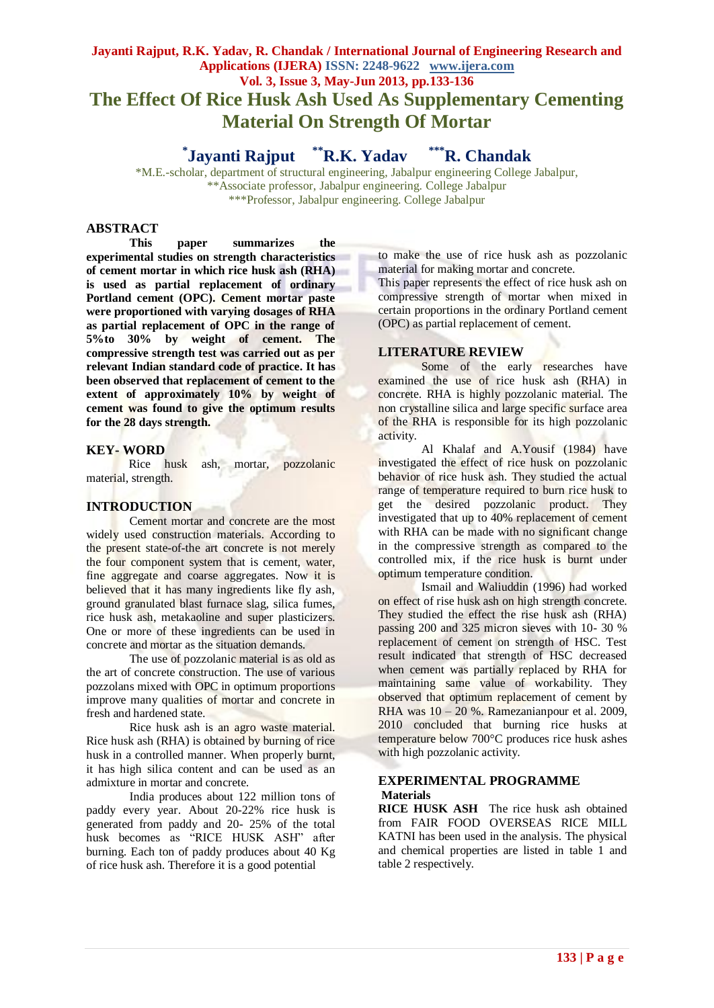# **Jayanti Rajput, R.K. Yadav, R. Chandak / International Journal of Engineering Research and Applications (IJERA) ISSN: 2248-9622 www.ijera.com Vol. 3, Issue 3, May-Jun 2013, pp.133-136 The Effect Of Rice Husk Ash Used As Supplementary Cementing Material On Strength Of Mortar**

**\* Jayanti Rajput \*\*R.K. Yadav \*\*\*R. Chandak**

\*M.E.-scholar, department of structural engineering, Jabalpur engineering College Jabalpur, \*\*Associate professor, Jabalpur engineering. College Jabalpur \*\*\*Professor, Jabalpur engineering. College Jabalpur

# **ABSTRACT**

**This paper summarizes the experimental studies on strength characteristics of cement mortar in which rice husk ash (RHA) is used as partial replacement of ordinary Portland cement (OPC). Cement mortar paste were proportioned with varying dosages of RHA as partial replacement of OPC in the range of 5%to 30% by weight of cement. The compressive strength test was carried out as per relevant Indian standard code of practice. It has been observed that replacement of cement to the extent of approximately 10% by weight of cement was found to give the optimum results for the 28 days strength.** 

#### **KEY- WORD**

Rice husk ash, mortar, pozzolanic material, strength.

# **INTRODUCTION**

Cement mortar and concrete are the most widely used construction materials. According to the present state-of-the art concrete is not merely the four component system that is cement, water, fine aggregate and coarse aggregates. Now it is believed that it has many ingredients like fly ash, ground granulated blast furnace slag, silica fumes, rice husk ash, metakaoline and super plasticizers. One or more of these ingredients can be used in concrete and mortar as the situation demands.

The use of pozzolanic material is as old as the art of concrete construction. The use of various pozzolans mixed with OPC in optimum proportions improve many qualities of mortar and concrete in fresh and hardened state.

Rice husk ash is an agro waste material. Rice husk ash (RHA) is obtained by burning of rice husk in a controlled manner. When properly burnt, it has high silica content and can be used as an admixture in mortar and concrete.

India produces about 122 million tons of paddy every year. About 20-22% rice husk is generated from paddy and 20- 25% of the total husk becomes as "RICE HUSK ASH" after burning. Each ton of paddy produces about 40 Kg of rice husk ash. Therefore it is a good potential

to make the use of rice husk ash as pozzolanic material for making mortar and concrete.

This paper represents the effect of rice husk ash on compressive strength of mortar when mixed in certain proportions in the ordinary Portland cement (OPC) as partial replacement of cement.

#### **LITERATURE REVIEW**

Some of the early researches have examined the use of rice husk ash (RHA) in concrete. RHA is highly pozzolanic material. The non crystalline silica and large specific surface area of the RHA is responsible for its high pozzolanic activity.

Al Khalaf and A.Yousif (1984) have investigated the effect of rice husk on pozzolanic behavior of rice husk ash. They studied the actual range of temperature required to burn rice husk to get the desired pozzolanic product. They investigated that up to 40% replacement of cement with RHA can be made with no significant change in the compressive strength as compared to the controlled mix, if the rice husk is burnt under optimum temperature condition.

Ismail and Waliuddin (1996) had worked on effect of rise husk ash on high strength concrete. They studied the effect the rise husk ash (RHA) passing 200 and 325 micron sieves with 10- 30 % replacement of cement on strength of HSC. Test result indicated that strength of HSC decreased when cement was partially replaced by RHA for maintaining same value of workability. They observed that optimum replacement of cement by RHA was 10 – 20 %. Ramezanianpour et al. 2009, 2010 concluded that burning rice husks at temperature below 700°C produces rice husk ashes with high pozzolanic activity.

# **EXPERIMENTAL PROGRAMME Materials**

**RICE HUSK ASH** The rice husk ash obtained from FAIR FOOD OVERSEAS RICE MILL KATNI has been used in the analysis. The physical and chemical properties are listed in table 1 and table 2 respectively.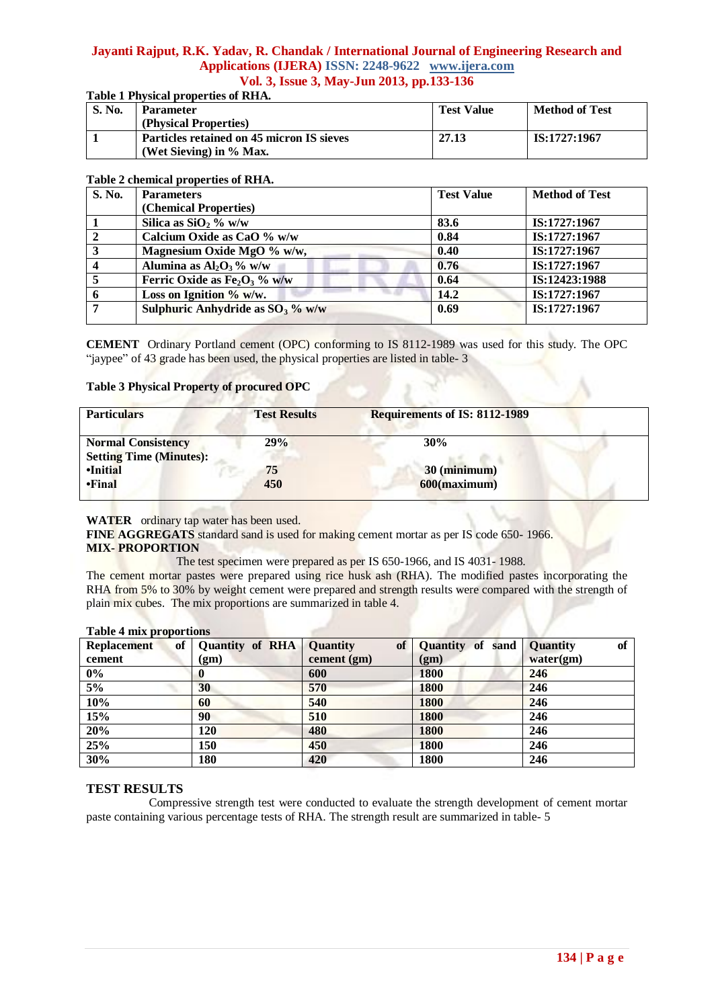# **Jayanti Rajput, R.K. Yadav, R. Chandak / International Journal of Engineering Research and Applications (IJERA) ISSN: 2248-9622 www.ijera.com Vol. 3, Issue 3, May-Jun 2013, pp.133-136**

# **Table 1 Physical properties of RHA.**

| <b>S. No.</b> | <b>Parameter</b><br>(Physical Properties)                              | <b>Test Value</b> | <b>Method of Test</b> |
|---------------|------------------------------------------------------------------------|-------------------|-----------------------|
|               | Particles retained on 45 micron IS sieves<br>(Wet Sieving) in $%$ Max. | 27.13             | IS:1727:1967          |

# **Table 2 chemical properties of RHA.**

| S. No.         | <b>Parameters</b>                   | <b>Test Value</b> | <b>Method of Test</b> |
|----------------|-------------------------------------|-------------------|-----------------------|
|                | (Chemical Properties)               |                   |                       |
|                | Silica as $SiO2$ % w/w              | 83.6              | IS:1727:1967          |
| $\sqrt{2}$     | Calcium Oxide as CaO % w/w          | 0.84              | IS:1727:1967          |
| $\overline{3}$ | Magnesium Oxide MgO % w/w,          | 0.40              | IS:1727:1967          |
| $\overline{4}$ | Alumina as $Al_2O_3\%$ w/w          | 0.76              | IS:1727:1967          |
| 5              | Ferric Oxide as $Fe2O3$ % w/w       | 0.64              | IS:12423:1988         |
| 6              | Loss on Ignition $\%$ w/w.          | 14.2              | IS:1727:1967          |
| .7             | Sulphuric Anhydride as $SO_3$ % w/w | 0.69              | IS:1727:1967          |
|                |                                     |                   |                       |

**CEMENT** Ordinary Portland cement (OPC) conforming to IS 8112-1989 was used for this study. The OPC "jaypee" of 43 grade has been used, the physical properties are listed in table- 3

# **Table 3 Physical Property of procured OPC**

| <b>Test Results</b> | Requirements of IS: 8112-1989 |                 |
|---------------------|-------------------------------|-----------------|
| 29%                 | 30%                           |                 |
| 75                  | 30 (minimum)                  |                 |
|                     | 450                           | $600$ (maximum) |

# **WATER** ordinary tap water has been used.

**FINE AGGREGATS** standard sand is used for making cement mortar as per IS code 650- 1966. **MIX- PROPORTION**

The test specimen were prepared as per IS 650-1966, and IS 4031- 1988.

The cement mortar pastes were prepared using rice husk ash (RHA). The modified pastes incorporating the RHA from 5% to 30% by weight cement were prepared and strength results were compared with the strength of plain mix cubes. The mix proportions are summarized in table 4.

| . .<br><b>Replacement</b><br>of | <b>Quantity of RHA</b> Quantity | <b>of</b>   | <b>Quantity of sand</b> | of<br><b>Quantity</b> |
|---------------------------------|---------------------------------|-------------|-------------------------|-----------------------|
| cement                          | (gm)                            | cement (gm) | (gm)                    | water(gm)             |
| $0\%$                           |                                 | 600         | 1800                    | 246                   |
| 5%                              | 30                              | 570         | <b>1800</b>             | 246                   |
| 10%                             | 60                              | 540         | 1800                    | 246                   |
| 15%                             | 90                              | 510         | 1800                    | 246                   |
| 20%                             | 120                             | 480         | 1800                    | 246                   |
| 25%                             | 150                             | 450         | 1800                    | 246                   |
| 30%                             | 180                             | 420         | 1800                    | 246                   |

# **Table 4 mix proportions**

# **TEST RESULTS**

Compressive strength test were conducted to evaluate the strength development of cement mortar paste containing various percentage tests of RHA. The strength result are summarized in table- 5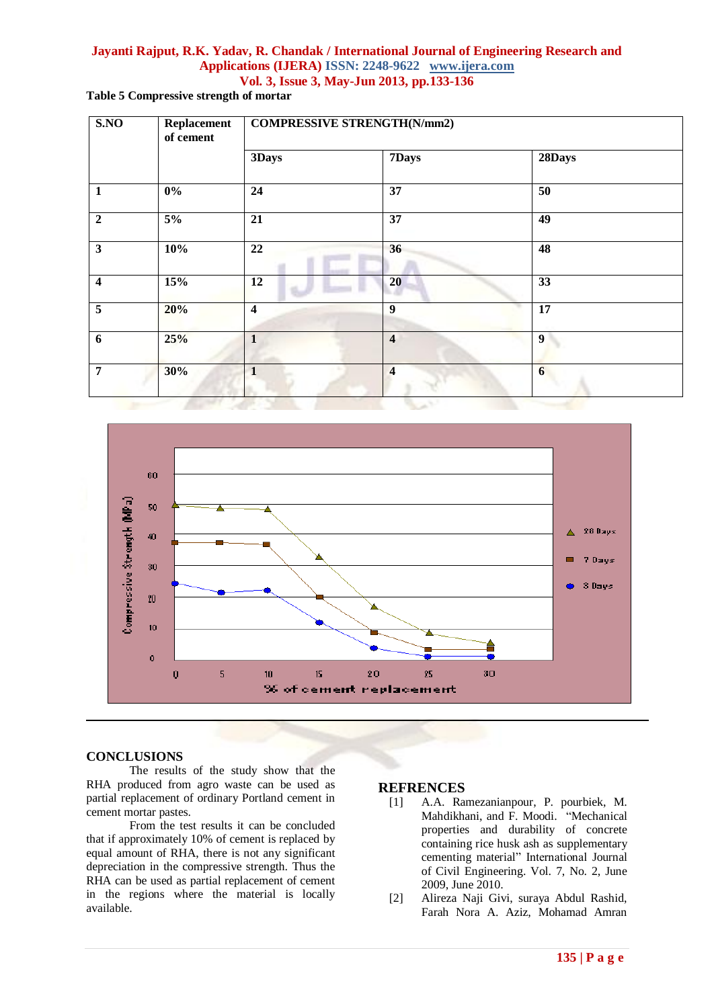# **Jayanti Rajput, R.K. Yadav, R. Chandak / International Journal of Engineering Research and Applications (IJERA) ISSN: 2248-9622 www.ijera.com Vol. 3, Issue 3, May-Jun 2013, pp.133-136**

**Table 5 Compressive strength of mortar**

| SNO                     | Replacement<br>of cement | <b>COMPRESSIVE STRENGTH(N/mm2)</b> |                         |                 |  |
|-------------------------|--------------------------|------------------------------------|-------------------------|-----------------|--|
|                         |                          | 3Days                              | 7Days                   | 28Days          |  |
| $\mathbf{1}$            | $0\%$                    | 24                                 | 37                      | 50              |  |
| $\boldsymbol{2}$        | $5\%$                    | 21                                 | 37                      | 49              |  |
| $\mathbf{3}$            | 10%                      | 22                                 | 36                      | 48              |  |
| $\overline{\mathbf{4}}$ | 15%                      | 12                                 | 20                      | 33              |  |
| 5                       | 20%                      | $\overline{\mathbf{4}}$            | $\overline{9}$          | 17              |  |
| 6                       | 25%                      | $\mathbf{1}$                       | $\overline{\mathbf{4}}$ | 9               |  |
| $\overline{7}$          | 30%                      | 1                                  | $\overline{\mathbf{4}}$ | $6\phantom{1}6$ |  |



# **CONCLUSIONS**

The results of the study show that the RHA produced from agro waste can be used as partial replacement of ordinary Portland cement in cement mortar pastes.

From the test results it can be concluded that if approximately 10% of cement is replaced by equal amount of RHA, there is not any significant depreciation in the compressive strength. Thus the RHA can be used as partial replacement of cement in the regions where the material is locally available.

# **REFRENCES**

- [1] A.A. Ramezanianpour, P. pourbiek, M. Mahdikhani, and F. Moodi. "Mechanical properties and durability of concrete containing rice husk ash as supplementary cementing material" International Journal of Civil Engineering. Vol. 7, No. 2, June 2009, June 2010.
- [2] Alireza Naji Givi, suraya Abdul Rashid, Farah Nora A. Aziz, Mohamad Amran